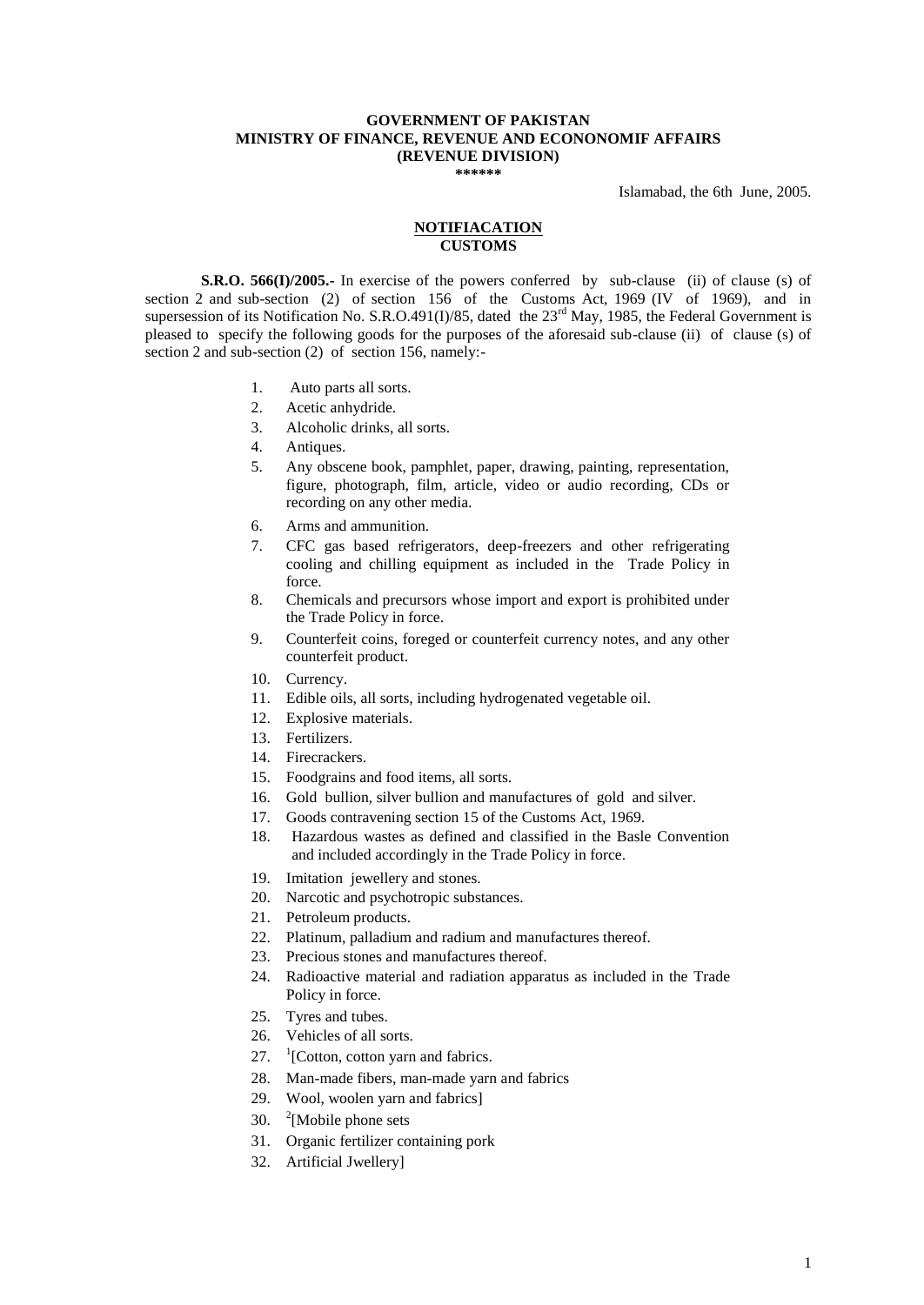## **GOVERNMENT OF PAKISTAN MINISTRY OF FINANCE, REVENUE AND ECONONOMIF AFFAIRS (REVENUE DIVISION)**

**\*\*\*\*\*\***

Islamabad, the 6th June, 2005.

## **NOTIFIACATION CUSTOMS**

**S.R.O. 566(I)/2005.**- In exercise of the powers conferred by sub-clause (ii) of clause (s) of section 2 and sub-section (2) of section 156 of the Customs Act, 1969 (IV of 1969), and in supersession of its Notification No. S.R.O.491(I)/85, dated the 23<sup>rd</sup> May, 1985, the Federal Government is pleased to specify the following goods for the purposes of the aforesaid sub-clause (ii) of clause (s) of section 2 and sub-section (2) of section 156, namely:-

- 1. Auto parts all sorts.
- 2. Acetic anhydride.
- 3. Alcoholic drinks, all sorts.
- 4. Antiques.
- 5. Any obscene book, pamphlet, paper, drawing, painting, representation, figure, photograph, film, article, video or audio recording, CDs or recording on any other media.
- 6. Arms and ammunition.
- 7. CFC gas based refrigerators, deep-freezers and other refrigerating cooling and chilling equipment as included in the Trade Policy in force.
- 8. Chemicals and precursors whose import and export is prohibited under the Trade Policy in force.
- 9. Counterfeit coins, foreged or counterfeit currency notes, and any other counterfeit product.
- 10. Currency.
- 11. Edible oils, all sorts, including hydrogenated vegetable oil.
- 12. Explosive materials.
- 13. Fertilizers.
- 14. Firecrackers.
- 15. Foodgrains and food items, all sorts.
- 16. Gold bullion, silver bullion and manufactures of gold and silver.
- 17. Goods contravening section 15 of the Customs Act, 1969.
- 18. Hazardous wastes as defined and classified in the Basle Convention and included accordingly in the Trade Policy in force.
- 19. Imitation jewellery and stones.
- 20. Narcotic and psychotropic substances.
- 21. Petroleum products.
- 22. Platinum, palladium and radium and manufactures thereof.
- 23. Precious stones and manufactures thereof.
- 24. Radioactive material and radiation apparatus as included in the Trade Policy in force.
- 25. Tyres and tubes.
- 26. Vehicles of all sorts.
- 27.  $\frac{1}{2}$ [Cotton, cotton yarn and fabrics.
- 28. Man-made fibers, man-made yarn and fabrics
- 29. Wool, woolen yarn and fabrics]
- 30.  $^{2}$ [Mobile phone sets
- 31. Organic fertilizer containing pork
- 32. Artificial Jwellery]